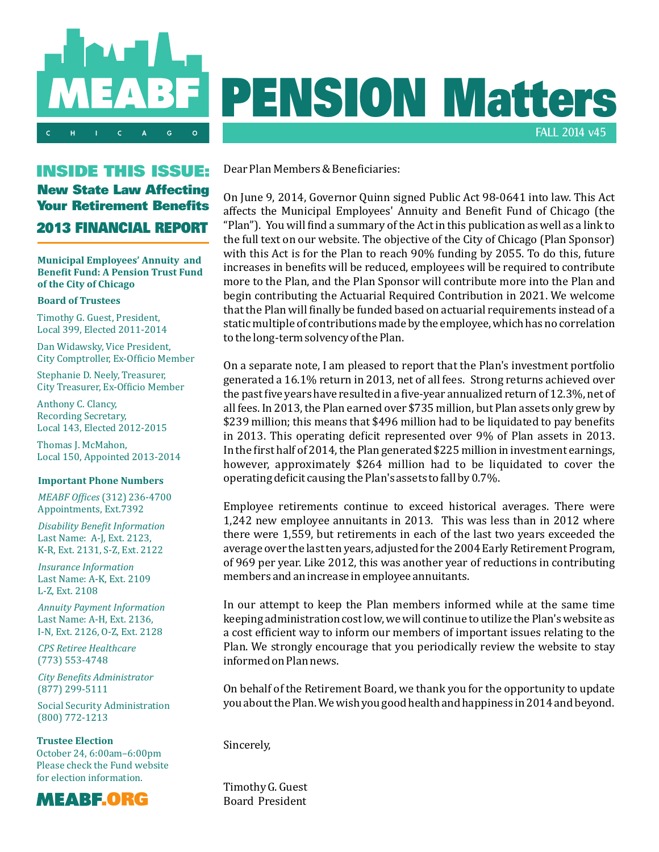

## INSIDE THIS ISSUE: New State Law Affecting Your Retirement Benefits 2013 FINANCIAL REPORT

**Municipal Employees' Annuity and Benefit Fund: A Pension Trust Fund of the City of Chicago**

#### **Board of Trustees**

Timothy G. Guest, President, Local 399, Elected 2011-2014

Dan Widawsky, Vice President, City Comptroller, Ex-Officio Member

Stephanie D. Neely, Treasurer, City Treasurer, Ex-Oficio Member

Anthony C. Clancy, Recording Secretary, Local 143, Elected 2012-2015

Thomas J. McMahon, Local 150, Appointed 2013-2014

#### **Important Phone Numbers**

*MEABF Ofices* (312) 236-4700 Appointments, Ext.7392

*Disability Benefit Information* Last Name: A-J, Ext. 2123, K-R, Ext. 2131, S-Z, Ext. 2122

*Insurance Information* Last Name: A-K, Ext. 2109 L-Z, Ext. 2108

*Annuity Payment Information*  Last Name: A-H, Ext. 2136. I-N, Ext. 2126, O-Z, Ext. 2128

*CPS Retiree Healthcare* (773) 553-4748

*City Benefits Administrator* (877) 299-5111

Social Security Administration (800) 772-1213

**Trustee Election** October 24, 6:00am–6:00pm Please check the Fund website for election information.



# PENSION Matters FALL 2014 v45

Dear Plan Members & Beneficiaries:

On June 9, 2014, Governor Quinn signed Public Act 98-0641 into law. This Act affects the Municipal Employees' Annuity and Benefit Fund of Chicago (the "Plan"). You will find a summary of the Act in this publication as well as a link to the full text on our website. The objective of the City of Chicago (Plan Sponsor) with this Act is for the Plan to reach 90% funding by 2055. To do this, future increases in benefits will be reduced, employees will be required to contribute more to the Plan, and the Plan Sponsor will contribute more into the Plan and begin contributing the Actuarial Required Contribution in 2021. We welcome that the Plan will finally be funded based on actuarial requirements instead of a static multiple of contributions made by the employee, which has no correlation to the long-term solvency of the Plan.

On a separate note, I am pleased to report that the Plan's investment portfolio generated a 16.1% return in 2013, net of all fees. Strong returns achieved over the past five years have resulted in a five-year annualized return of 12.3%, net of all fees. In 2013, the Plan earned over \$735 million, but Plan assets only grew by \$239 million; this means that \$496 million had to be liquidated to pay benefits in 2013. This operating deficit represented over 9% of Plan assets in 2013. In the first half of 2014, the Plan generated  $$225$  million in investment earnings, however, approximately \$264 million had to be liquidated to cover the operating deficit causing the Plan's assets to fall by 0.7%.

Employee retirements continue to exceed historical averages. There were 1,242 new employee annuitants in 2013. This was less than in 2012 where there were 1,559, but retirements in each of the last two years exceeded the average over the last ten years, adjusted for the 2004 Early Retirement Program, of 969 per year. Like 2012, this was another year of reductions in contributing members and an increase in employee annuitants.

In our attempt to keep the Plan members informed while at the same time keeping administration cost low, we will continue to utilize the Plan's website as a cost efficient way to inform our members of important issues relating to the Plan. We strongly encourage that you periodically review the website to stay informed on Plan news.

On behalf of the Retirement Board, we thank you for the opportunity to update you about the Plan. We wish you good health and happiness in 2014 and beyond.

Sincerely,

Timothy G. Guest Board President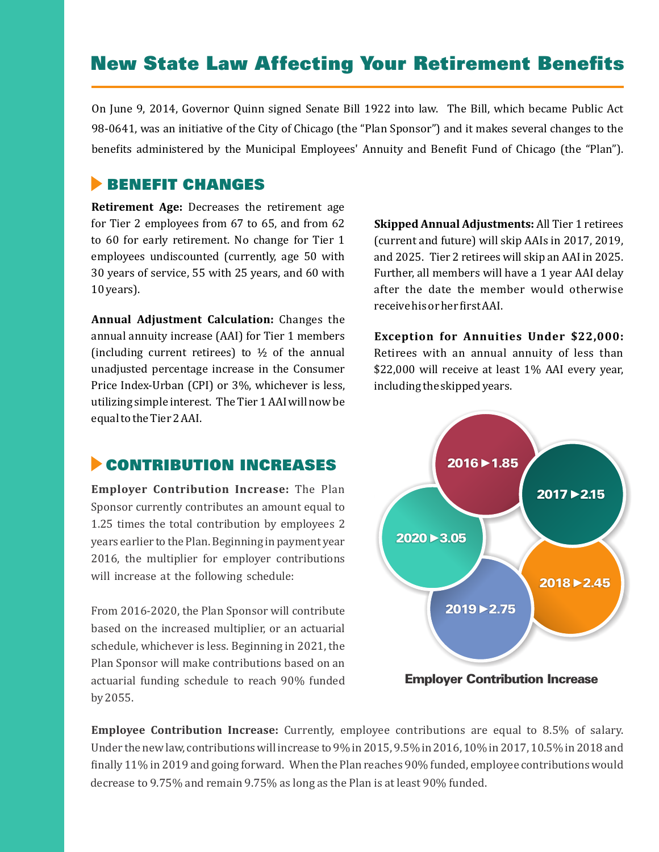# New State Law Affecting Your Retirement Benefits

On June 9, 2014, Governor Quinn signed Senate Bill 1922 into law. The Bill, which became Public Act 98-0641, was an initiative of the City of Chicago (the "Plan Sponsor") and it makes several changes to the benefits administered by the Municipal Employees' Annuity and Benefit Fund of Chicago (the "Plan").

## **BENEFIT CHANGES**

**Retirement Age:** Decreases the retirement age for Tier 2 employees from  $67$  to  $65$ , and from  $62$ to 60 for early retirement. No change for Tier 1 employees undiscounted (currently, age 50 with 30 years of service, 55 with 25 years, and 60 with 10 years).

**Annual Adjustment Calculation:** Changes the annual annuity increase (AAI) for Tier 1 members (including current retirees) to  $\frac{1}{2}$  of the annual unadjusted percentage increase in the Consumer Price Index-Urban (CPI) or 3%, whichever is less, utilizing simple interest. The Tier 1 AAI will now be equal to the Tier 2 AAI.

**Skipped Annual Adjustments:** All Tier 1 retirees (current and future) will skip AAIs in 2017, 2019, and 2025. Tier 2 retirees will skip an AAI in 2025. Further, all members will have a 1 year AAI delay after the date the member would otherwise receive his or her first AAI.

**Exception for Annuities Under \$22,000:**  Retirees with an annual annuity of less than \$22,000 will receive at least 1% AAI every year, including the skipped years.

### **CONTRIBUTION INCREASES**

**Employer Contribution Increase:** The Plan Sponsor currently contributes an amount equal to 1.25 times the total contribution by employees 2 years earlier to the Plan. Beginning in payment year 2016, the multiplier for employer contributions will increase at the following schedule:

From 2016-2020, the Plan Sponsor will contribute based on the increased multiplier, or an actuarial schedule, whichever is less. Beginning in 2021, the Plan Sponsor will make contributions based on an actuarial funding schedule to reach 90% funded by 2055.



**Employee Contribution Increase:** Currently, employee contributions are equal to 8.5% of salary. Under the new law, contributions will increase to 9% in 2015, 9.5% in 2016, 10% in 2017, 10.5% in 2018 and finally 11% in 2019 and going forward. When the Plan reaches 90% funded, employee contributions would decrease to 9.75% and remain 9.75% as long as the Plan is at least 90% funded.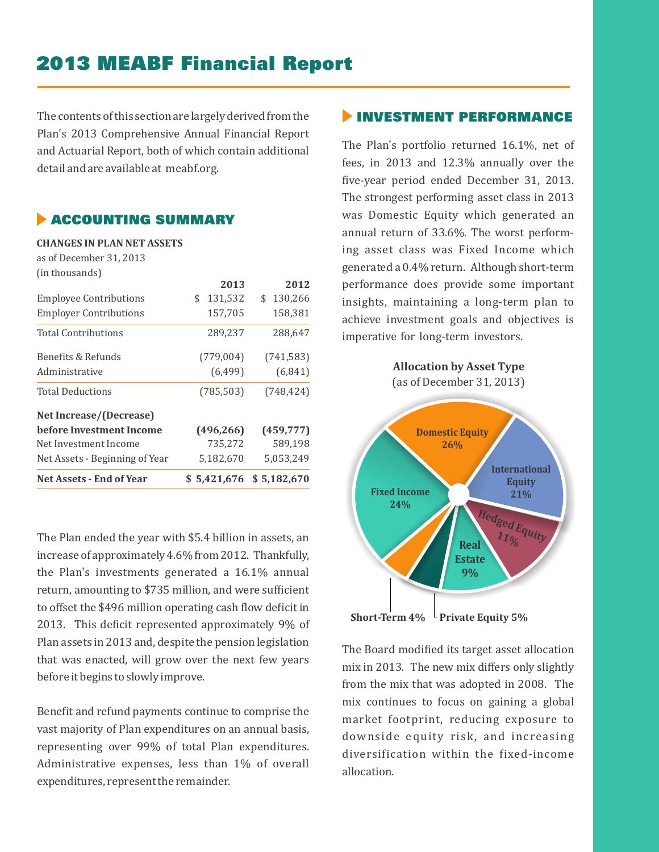# 2013 MEABF Financial Report

The contents of this section are largely derived from the Plan's 2013 Comprehensive Annual Financial Report and Actuarial Report, both of which contain additional detail and are available at meabf.org.

#### **ACCOUNTING SUMMARY**

**CHANGES IN PLAN NET ASSETS** as of December 31, 2013 (in thousands)

| <b>Net Assets - End of Year</b> |                | $$5,421,676$ $$5,182,670$ | <b>Equity</b>                                                |
|---------------------------------|----------------|---------------------------|--------------------------------------------------------------|
|                                 |                |                           | <b>International</b>                                         |
| Net Assets - Beginning of Year  | 5,182,670      | 5,053,249                 |                                                              |
| Net Investment Income           | 735,272        | 589,198                   | 26%                                                          |
| before Investment Income        | (496, 266)     | (459, 777)                | <b>Domestic Equity</b>                                       |
| Net Increase/(Decrease)         |                |                           |                                                              |
| <b>Total Deductions</b>         | (785, 503)     | (748, 424)                | <b>Allocation by Asset Type</b><br>(as of December 31, 2013) |
| Administrative                  | (6, 499)       | (6, 841)                  |                                                              |
| Benefits & Refunds              | (779,004)      | (741, 583)                |                                                              |
| <b>Total Contributions</b>      | 289,237        | 288,647                   | imperative for long-term investors.                          |
| <b>Employer Contributions</b>   | 157,705        | 158,381                   | achieve investment goals and objectives is                   |
| <b>Employee Contributions</b>   | 131,532<br>\$. | \$130,266                 | insights, maintaining a long-term plan to                    |
|                                 | 2013           | 2012                      | performance does provide some important                      |
| Tin thousands)                  |                |                           |                                                              |

The Plan ended the year with \$5.4 billion in assets, an increase of approximately 4.6% from 2012. Thankfully, the Plan's investments generated a 16.1% annual return, amounting to \$735 million, and were sufficient to offset the \$496 million operating cash flow deficit in 2013. This deficit represented approximately 9% of Plan assets in 2013 and, despite the pension legislation that was enacted, will grow over the next few years before it begins to slowly improve.

Benefit and refund payments continue to comprise the vast majority of Plan expenditures on an annual basis, representing over 99% of total Plan expenditures. Administrative expenses, less than 1% of overall expenditures, represent the remainder.

#### **INVESTMENT PERFORMANCE**

The Plan's portfolio returned 16.1%, net of fees, in 2013 and 12.3% annually over the five-year period ended December 31, 2013. The strongest performing asset class in 2013 was Domestic Equity which generated an annual return of 33.6%. The worst performing asset class was Fixed Income which generated a 0.4% return. Although short-term performance does provide some important achieve investment goals and objectives is imperative for long-term investors.



**Short-Term 4%**  $\overline{\phantom{a}}$  Private Equity 5%

The Board modified its target asset allocation  $mix$  in 2013. The new mix differs only slightly from the mix that was adopted in 2008. The mix continues to focus on gaining a global market footprint, reducing exposure to downside equity risk, and increasing diversification within the fixed-income allocation.